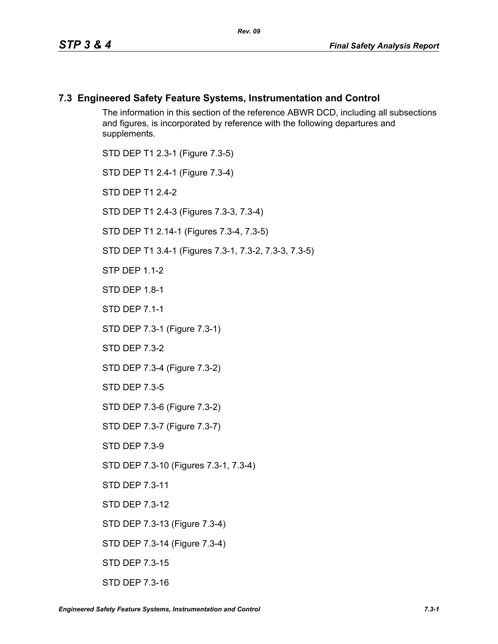#### **7.3 Engineered Safety Feature Systems, Instrumentation and Control**

The information in this section of the reference ABWR DCD, including all subsections and figures, is incorporated by reference with the following departures and supplements.

STD DEP T1 2.3-1 (Figure 7.3-5) STD DEP T1 2.4-1 (Figure 7.3-4) STD DFP T1 2 4-2 STD DEP T1 2.4-3 (Figures 7.3-3, 7.3-4) STD DEP T1 2.14-1 (Figures 7.3-4, 7.3-5) STD DEP T1 3.4-1 (Figures 7.3-1, 7.3-2, 7.3-3, 7.3-5) **STP DFP 1 1-2** STD DEP 1.8-1 STD DEP 7.1-1 STD DEP 7.3-1 (Figure 7.3-1) STD DEP 7.3-2 STD DEP 7.3-4 (Figure 7.3-2) STD DEP 7.3-5 STD DEP 7.3-6 (Figure 7.3-2) STD DEP 7.3-7 (Figure 7.3-7) STD DEP 7.3-9 STD DEP 7.3-10 (Figures 7.3-1, 7.3-4) STD DEP 7.3-11 STD DEP 7.3-12 STD DEP 7.3-13 (Figure 7.3-4) STD DEP 7.3-14 (Figure 7.3-4) STD DEP 7.3-15

STD DEP 7.3-16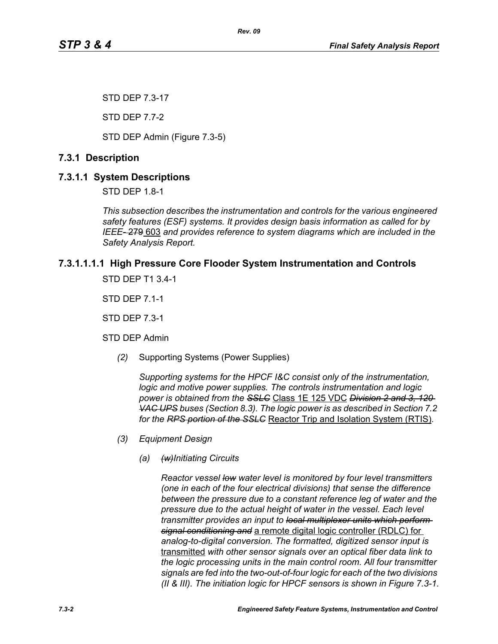STD DEP 7.3-17

STD DEP 7.7-2

STD DEP Admin (Figure 7.3-5)

# **7.3.1 Description**

# **7.3.1.1 System Descriptions**

STD DEP 1.8-1

*This subsection describes the instrumentation and controls for the various engineered safety features (ESF) systems. It provides design basis information as called for by IEEE-* 279 603 *and provides reference to system diagrams which are included in the Safety Analysis Report.*

# **7.3.1.1.1.1 High Pressure Core Flooder System Instrumentation and Controls**

STD DEP T1 3.4-1

STD DEP 7.1-1

STD DEP 7.3-1

STD DEP Admin

*(2)* Supporting Systems (Power Supplies)

*Supporting systems for the HPCF I&C consist only of the instrumentation, logic and motive power supplies. The controls instrumentation and logic power is obtained from the SSLC* Class 1E 125 VDC *Division 2 and 3, 120 VAC UPS buses (Section 8.3). The logic power is as described in Section 7.2 for the RPS portion of the SSLC* Reactor Trip and Isolation System (RTIS)*.*

- *(3) Equipment Design*
	- *(a) (w)Initiating Circuits*

*Reactor vessel low water level is monitored by four level transmitters (one in each of the four electrical divisions) that sense the difference between the pressure due to a constant reference leg of water and the pressure due to the actual height of water in the vessel. Each level transmitter provides an input to local multiplexer units which perform signal conditioning and* a remote digital logic controller (RDLC) for *analog-to-digital conversion. The formatted, digitized sensor input is*  transmitted *with other sensor signals over an optical fiber data link to the logic processing units in the main control room. All four transmitter signals are fed into the two-out-of-four logic for each of the two divisions (II & III). The initiation logic for HPCF sensors is shown in Figure 7.3-1.*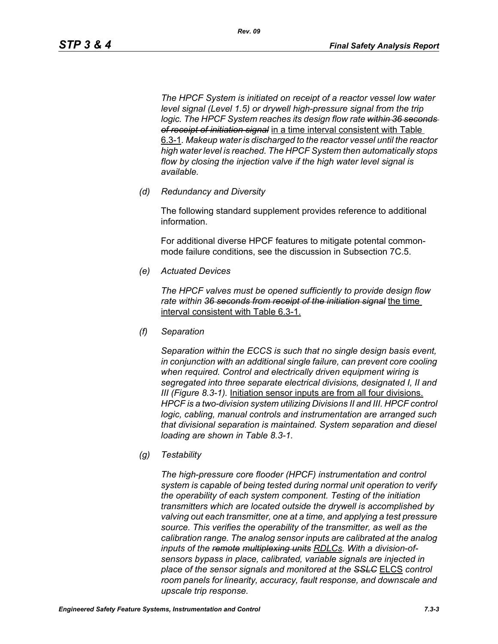*The HPCF System is initiated on receipt of a reactor vessel low water level signal (Level 1.5) or drywell high-pressure signal from the trip logic. The HPCF System reaches its design flow rate within 36 seconds of receipt of initiation signal* in a time interval consistent with Table 6.3-1*. Makeup water is discharged to the reactor vessel until the reactor high water level is reached. The HPCF System then automatically stops flow by closing the injection valve if the high water level signal is available.*

*(d) Redundancy and Diversity*

The following standard supplement provides reference to additional information.

For additional diverse HPCF features to mitigate potental commonmode failure conditions, see the discussion in Subsection 7C.5.

*(e) Actuated Devices*

*The HPCF valves must be opened sufficiently to provide design flow rate within 36 seconds from receipt of the initiation signal* the time interval consistent with Table 6.3-1.

*(f) Separation*

*Separation within the ECCS is such that no single design basis event, in conjunction with an additional single failure, can prevent core cooling when required. Control and electrically driven equipment wiring is segregated into three separate electrical divisions, designated I, II and III (Figure 8.3-1).* Initiation sensor inputs are from all four divisions. *HPCF is a two-division system utilizing Divisions II and III. HPCF control logic, cabling, manual controls and instrumentation are arranged such that divisional separation is maintained. System separation and diesel loading are shown in Table 8.3-1.*

*(g) Testability*

*The high-pressure core flooder (HPCF) instrumentation and control system is capable of being tested during normal unit operation to verify the operability of each system component. Testing of the initiation transmitters which are located outside the drywell is accomplished by valving out each transmitter, one at a time, and applying a test pressure source. This verifies the operability of the transmitter, as well as the calibration range. The analog sensor inputs are calibrated at the analog inputs of the remote multiplexing units RDLCs. With a division-ofsensors bypass in place, calibrated, variable signals are injected in place of the sensor signals and monitored at the SSLC* ELCS *control room panels for linearity, accuracy, fault response, and downscale and upscale trip response.*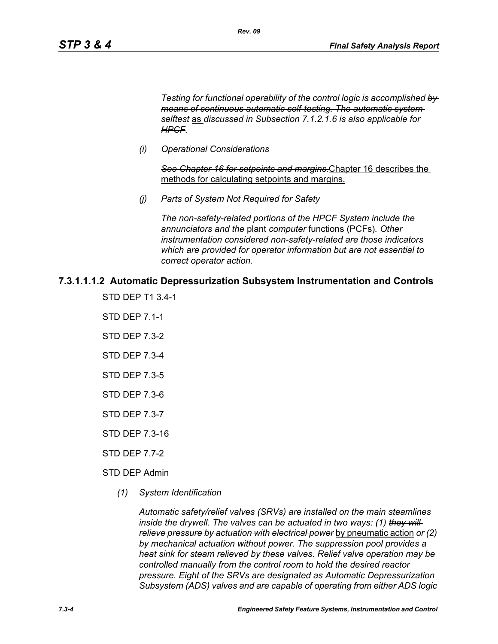*Testing for functional operability of the control logic is accomplished by means of continuous automatic self-testing. The automatic system selftest* as *discussed in Subsection 7.1.2.1.6 is also applicable for HPCF.*

*(i) Operational Considerations*

*See Chapter 16 for setpoints and margins.*Chapter 16 describes the methods for calculating setpoints and margins.

*(j) Parts of System Not Required for Safety*

*Rev. 09*

*The non-safety-related portions of the HPCF System include the annunciators and the* plant *computer* functions (PCFs)*. Other instrumentation considered non-safety-related are those indicators which are provided for operator information but are not essential to correct operator action.*

## **7.3.1.1.1.2 Automatic Depressurization Subsystem Instrumentation and Controls**

- STD DEP T1 3.4-1
- STD DEP 7.1-1
- STD DEP 7.3-2
- STD DEP 7.3-4
- STD DEP 7.3-5
- STD DEP 7.3-6
- STD DEP 7.3-7
- STD DEP 7.3-16
- STD DEP 7.7-2
- STD DEP Admin
	- *(1) System Identification*

*Automatic safety/relief valves (SRVs) are installed on the main steamlines inside the drywell. The valves can be actuated in two ways: (1) they will relieve pressure by actuation with electrical power* by pneumatic action *or (2) by mechanical actuation without power. The suppression pool provides a heat sink for steam relieved by these valves. Relief valve operation may be controlled manually from the control room to hold the desired reactor pressure. Eight of the SRVs are designated as Automatic Depressurization Subsystem (ADS) valves and are capable of operating from either ADS logic*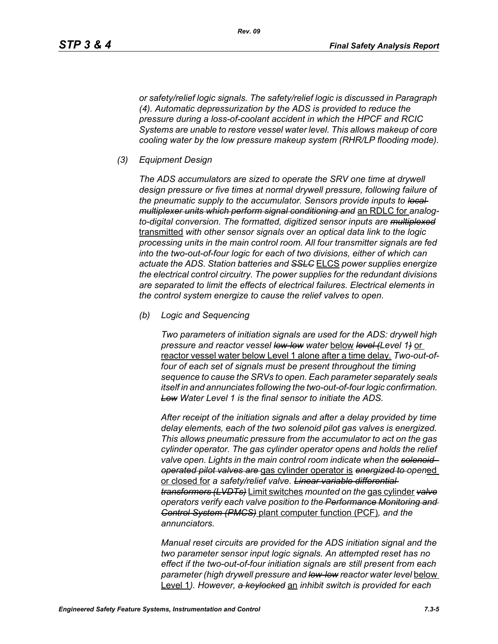*Rev. 09*

*or safety/relief logic signals. The safety/relief logic is discussed in Paragraph (4). Automatic depressurization by the ADS is provided to reduce the pressure during a loss-of-coolant accident in which the HPCF and RCIC Systems are unable to restore vessel water level. This allows makeup of core cooling water by the low pressure makeup system (RHR/LP flooding mode).*

*(3) Equipment Design*

*The ADS accumulators are sized to operate the SRV one time at drywell design pressure or five times at normal drywell pressure, following failure of the pneumatic supply to the accumulator. Sensors provide inputs to local multiplexer units which perform signal conditioning and* an RDLC for *analogto-digital conversion. The formatted, digitized sensor inputs are multiplexed* transmitted *with other sensor signals over an optical data link to the logic processing units in the main control room. All four transmitter signals are fed into the two-out-of-four logic for each of two divisions, either of which can actuate the ADS. Station batteries and SSLC* ELCS *power supplies energize the electrical control circuitry. The power supplies for the redundant divisions are separated to limit the effects of electrical failures. Electrical elements in the control system energize to cause the relief valves to open.*

*(b) Logic and Sequencing*

*Two parameters of initiation signals are used for the ADS: drywell high pressure and reactor vessel low-low water* below *level (Level 1)* or reactor vessel water below Level 1 alone after a time delay*. Two-out-offour of each set of signals must be present throughout the timing sequence to cause the SRVs to open. Each parameter separately seals itself in and annunciates following the two-out-of-four logic confirmation. Low Water Level 1 is the final sensor to initiate the ADS.*

*After receipt of the initiation signals and after a delay provided by time delay elements, each of the two solenoid pilot gas valves is energized. This allows pneumatic pressure from the accumulator to act on the gas cylinder operator. The gas cylinder operator opens and holds the relief valve open. Lights in the main control room indicate when the solenoidoperated pilot valves are* gas cylinder operator is *energized to open*ed or closed for *a safety/relief valve. Linear variable differential transformers (LVDTs)* Limit switches *mounted on the* gas cylinder *valve operators verify each valve position to the Performance Monitoring and Control System (PMCS)* plant computer function (PCF)*, and the annunciators.*

*Manual reset circuits are provided for the ADS initiation signal and the two parameter sensor input logic signals. An attempted reset has no effect if the two-out-of-four initiation signals are still present from each parameter (high drywell pressure and low-low reactor water level* below Level 1*). However, a keylocked* an *inhibit switch is provided for each*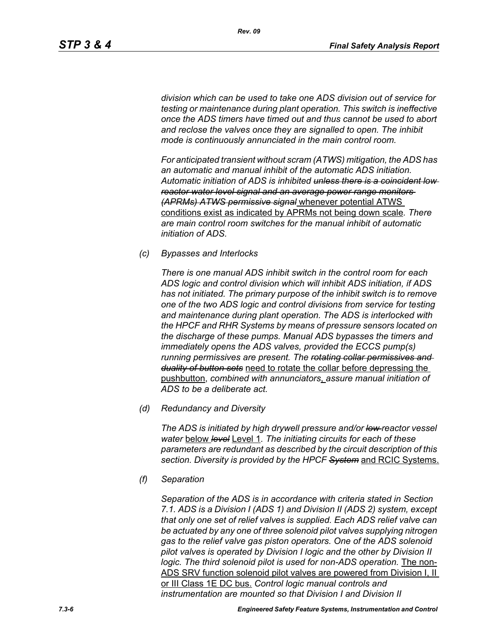*Rev. 09*

*division which can be used to take one ADS division out of service for testing or maintenance during plant operation. This switch is ineffective once the ADS timers have timed out and thus cannot be used to abort and reclose the valves once they are signalled to open. The inhibit mode is continuously annunciated in the main control room.*

*For anticipated transient without scram (ATWS) mitigation, the ADS has an automatic and manual inhibit of the automatic ADS initiation. Automatic initiation of ADS is inhibited unless there is a coincident low reactor water level signal and an average power range monitors (APRMs) ATWS permissive signal* whenever potential ATWS conditions exist as indicated by APRMs not being down scale*. There are main control room switches for the manual inhibit of automatic initiation of ADS.*

*(c) Bypasses and Interlocks*

*There is one manual ADS inhibit switch in the control room for each ADS logic and control division which will inhibit ADS initiation, if ADS has not initiated. The primary purpose of the inhibit switch is to remove one of the two ADS logic and control divisions from service for testing and maintenance during plant operation. The ADS is interlocked with the HPCF and RHR Systems by means of pressure sensors located on the discharge of these pumps. Manual ADS bypasses the timers and immediately opens the ADS valves, provided the ECCS pump(s) running permissives are present. The rotating collar permissives and duality of button sets* need to rotate the collar before depressing the pushbutton, *combined with annunciators*, *assure manual initiation of ADS to be a deliberate act.*

*(d) Redundancy and Diversity*

*The ADS is initiated by high drywell pressure and/or low reactor vessel water* below *level* Level 1*. The initiating circuits for each of these parameters are redundant as described by the circuit description of this section. Diversity is provided by the HPCF System* and RCIC Systems.

*(f) Separation*

*Separation of the ADS is in accordance with criteria stated in Section 7.1. ADS is a Division I (ADS 1) and Division II (ADS 2) system, except that only one set of relief valves is supplied. Each ADS relief valve can be actuated by any one of three solenoid pilot valves supplying nitrogen gas to the relief valve gas piston operators. One of the ADS solenoid pilot valves is operated by Division I logic and the other by Division II logic. The third solenoid pilot is used for non-ADS operation.* The non-ADS SRV function solenoid pilot valves are powered from Division I, II or III Class 1E DC bus. *Control logic manual controls and instrumentation are mounted so that Division I and Division II*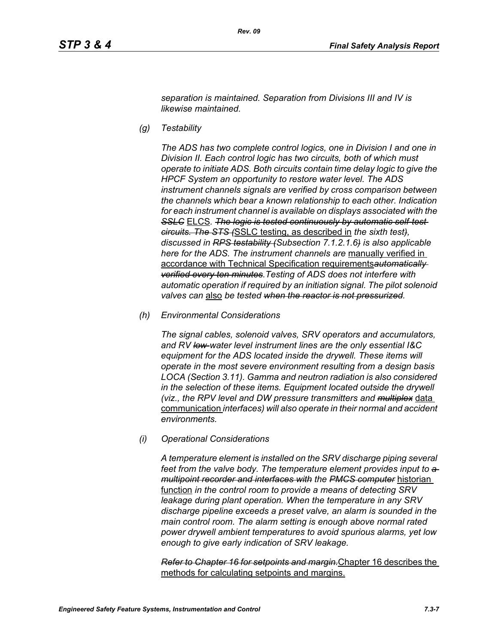*separation is maintained. Separation from Divisions III and IV is likewise maintained.*

*(g) Testability*

*The ADS has two complete control logics, one in Division I and one in Division II. Each control logic has two circuits, both of which must operate to initiate ADS. Both circuits contain time delay logic to give the HPCF System an opportunity to restore water level. The ADS instrument channels signals are verified by cross comparison between the channels which bear a known relationship to each other. Indication for each instrument channel is available on displays associated with the*  **SSLC** ELCS. The logic is tested continuously by automatic self-test*circuits. The STS (*SSLC testing, as described in *the sixth test), discussed in RPS testability (Subsection 7.1.2.1.6) is also applicable here for the ADS. The instrument channels are* manually verified in accordance with Technical Specification requirements*automatically verified every ten minutes.Testing of ADS does not interfere with automatic operation if required by an initiation signal. The pilot solenoid valves can* also *be tested when the reactor is not pressurized.*

*(h) Environmental Considerations*

*The signal cables, solenoid valves, SRV operators and accumulators, and RV low-water level instrument lines are the only essential I&C equipment for the ADS located inside the drywell. These items will operate in the most severe environment resulting from a design basis LOCA (Section 3.11). Gamma and neutron radiation is also considered in the selection of these items. Equipment located outside the drywell (viz., the RPV level and DW pressure transmitters and multiplex* data communication *interfaces) will also operate in their normal and accident environments.*

*(i) Operational Considerations*

*A temperature element is installed on the SRV discharge piping several*  feet from the valve body. The temperature element provides input to  $a$ *multipoint recorder and interfaces with the PMCS computer* historian function *in the control room to provide a means of detecting SRV leakage during plant operation. When the temperature in any SRV discharge pipeline exceeds a preset valve, an alarm is sounded in the main control room. The alarm setting is enough above normal rated power drywell ambient temperatures to avoid spurious alarms, yet low enough to give early indication of SRV leakage.*

*Refer to Chapter 16 for setpoints and margin.*Chapter 16 describes the methods for calculating setpoints and margins.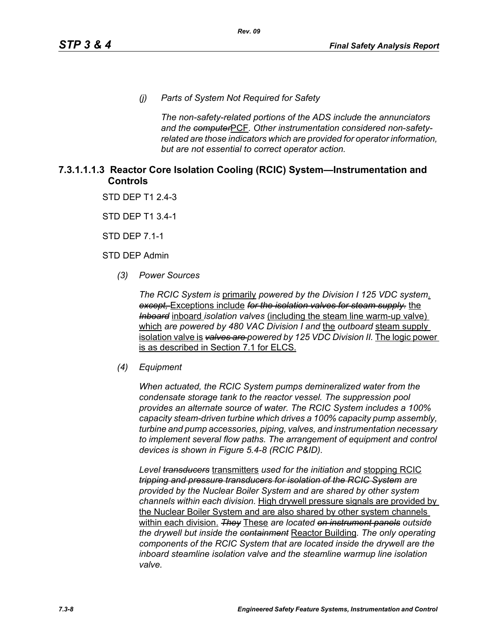*(j) Parts of System Not Required for Safety*

*The non-safety-related portions of the ADS include the annunciators and the computer*PCF*. Other instrumentation considered non-safetyrelated are those indicators which are provided for operator information, but are not essential to correct operator action.*

# **7.3.1.1.1.3 Reactor Core Isolation Cooling (RCIC) System—Instrumentation and Controls**

STD DEP T1 2.4-3

STD DEP T1 3.4-1

STD DEP 7.1-1

STD DEP Admin

*(3) Power Sources*

*The RCIC System is* primarily *powered by the Division I 125 VDC system*. *except,* Exceptions include *for the isolation valves for steam supply.* the *Inboard* inboard *isolation valves* (including the steam line warm-up valve) which *are powered by 480 VAC Division I and* the *outboard* steam supply isolation valve is *valves are powered by 125 VDC Division II.* The logic power is as described in Section 7.1 for ELCS.

#### *(4) Equipment*

*When actuated, the RCIC System pumps demineralized water from the condensate storage tank to the reactor vessel. The suppression pool provides an alternate source of water. The RCIC System includes a 100% capacity steam-driven turbine which drives a 100% capacity pump assembly, turbine and pump accessories, piping, valves, and instrumentation necessary to implement several flow paths. The arrangement of equipment and control devices is shown in Figure 5.4-8 (RCIC P&ID).*

*Level transducers* transmitters *used for the initiation and* stopping RCIC *tripping and pressure transducers for isolation of the RCIC System are provided by the Nuclear Boiler System and are shared by other system channels within each division.* High drywell pressure signals are provided by the Nuclear Boiler System and are also shared by other system channels within each division. *They* These *are located on instrument panels outside the drywell but inside the containment* Reactor Building*. The only operating components of the RCIC System that are located inside the drywell are the inboard steamline isolation valve and the steamline warmup line isolation valve.*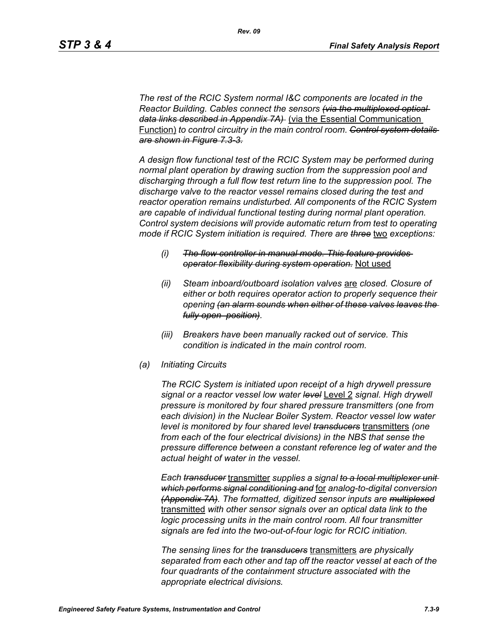*The rest of the RCIC System normal I&C components are located in the Reactor Building. Cables connect the sensors (via the multiplexed optical data links described in Appendix 7A)* (via the Essential Communication Function) *to control circuitry in the main control room. Control system details are shown in Figure 7.3-3.*

*A design flow functional test of the RCIC System may be performed during normal plant operation by drawing suction from the suppression pool and discharging through a full flow test return line to the suppression pool. The discharge valve to the reactor vessel remains closed during the test and reactor operation remains undisturbed. All components of the RCIC System are capable of individual functional testing during normal plant operation. Control system decisions will provide automatic return from test to operating mode if RCIC System initiation is required. There are three* two *exceptions:*

- *(i) The flow controller in manual mode. This feature provides operator flexibility during system operation.* Not used
- *(ii) Steam inboard/outboard isolation valves* are *closed. Closure of either or both requires operator action to properly sequence their opening (an alarm sounds when either of these valves leaves the fully open position).*
- *(iii) Breakers have been manually racked out of service. This condition is indicated in the main control room.*
- *(a) Initiating Circuits*

*The RCIC System is initiated upon receipt of a high drywell pressure signal or a reactor vessel low water level* Level 2 *signal. High drywell pressure is monitored by four shared pressure transmitters (one from each division) in the Nuclear Boiler System. Reactor vessel low water level is monitored by four shared level transducers* transmitters *(one from each of the four electrical divisions) in the NBS that sense the pressure difference between a constant reference leg of water and the actual height of water in the vessel.*

*Each transducer* transmitter *supplies a signal to a local multiplexer unit which performs signal conditioning and* for *analog-to-digital conversion (Appendix 7A). The formatted, digitized sensor inputs are multiplexed* transmitted *with other sensor signals over an optical data link to the logic processing units in the main control room. All four transmitter signals are fed into the two-out-of-four logic for RCIC initiation.*

*The sensing lines for the transducers* transmitters *are physically separated from each other and tap off the reactor vessel at each of the four quadrants of the containment structure associated with the appropriate electrical divisions.*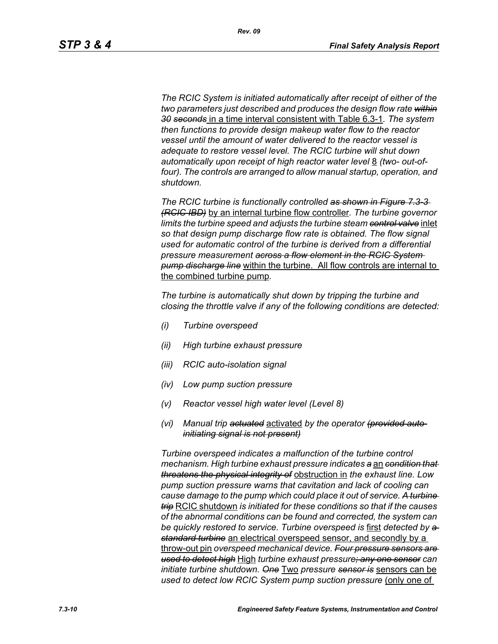*The RCIC System is initiated automatically after receipt of either of the two parameters just described and produces the design flow rate within 30 seconds* in a time interval consistent with Table 6.3-1*. The system then functions to provide design makeup water flow to the reactor vessel until the amount of water delivered to the reactor vessel is adequate to restore vessel level. The RCIC turbine will shut down*  automatically upon receipt of high reactor water level 8 *(two- out-of*four). The controls are arranged to allow manual startup, operation, and *shutdown.*

*The RCIC turbine is functionally controlled as shown in Figure 7.3-3 (RCIC IBD)* by an internal turbine flow controller*. The turbine governor limits the turbine speed and adjusts the turbine steam control valve* inlet *so that design pump discharge flow rate is obtained. The flow signal used for automatic control of the turbine is derived from a differential pressure measurement across a flow element in the RCIC System pump discharge line* within the turbine. All flow controls are internal to the combined turbine pump*.*

*The turbine is automatically shut down by tripping the turbine and closing the throttle valve if any of the following conditions are detected:*

- *(i) Turbine overspeed*
- *(ii) High turbine exhaust pressure*
- *(iii) RCIC auto-isolation signal*
- *(iv) Low pump suction pressure*
- *(v) Reactor vessel high water level (Level 8)*
- *(vi) Manual trip actuated* activated *by the operator (provided autoinitiating signal is not present)*

*Turbine overspeed indicates a malfunction of the turbine control mechanism. High turbine exhaust pressure indicates a* an *condition that threatens the physical integrity of* obstruction in *the exhaust line. Low pump suction pressure warns that cavitation and lack of cooling can cause damage to the pump which could place it out of service. A turbine trip* RCIC shutdown *is initiated for these conditions so that if the causes of the abnormal conditions can be found and corrected, the system can be quickly restored to service. Turbine overspeed is* first *detected by a standard turbine* an electrical overspeed sensor, and secondly by a throw-out pin *overspeed mechanical device. Four pressure sensors are used to detect high* High *turbine exhaust pressure; any one sensor can initiate turbine shutdown. One* Two *pressure sensor is* sensors can be *used to detect low RCIC System pump suction pressure (only one of*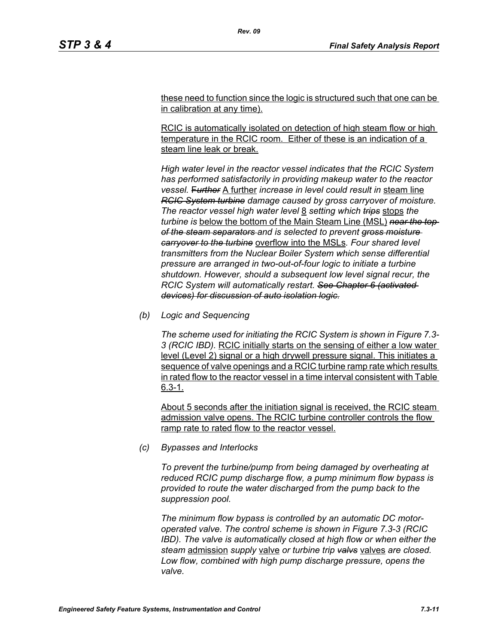these need to function since the logic is structured such that one can be in calibration at any time).

*Rev. 09*

RCIC is automatically isolated on detection of high steam flow or high temperature in the RCIC room. Either of these is an indication of a steam line leak or break.

*High water level in the reactor vessel indicates that the RCIC System has performed satisfactorily in providing makeup water to the reactor vessel.* F*urther* A further *increase in level could result in* steam line *RCIC System turbine damage caused by gross carryover of moisture. The reactor vessel high water level* 8 *setting which trips* stops *the turbine is* below the bottom of the Main Steam Line (MSL) *near the top of the steam separators and is selected to prevent gross moisture carryover to the turbine* overflow into the MSLs*. Four shared level transmitters from the Nuclear Boiler System which sense differential pressure are arranged in two-out-of-four logic to initiate a turbine shutdown. However, should a subsequent low level signal recur, the RCIC System will automatically restart. See Chapter 6 (activated devices) for discussion of auto isolation logic.*

*(b) Logic and Sequencing*

*The scheme used for initiating the RCIC System is shown in Figure 7.3- 3 (RCIC IBD).* RCIC initially starts on the sensing of either a low water level (Level 2) signal or a high drywell pressure signal. This initiates a sequence of valve openings and a RCIC turbine ramp rate which results in rated flow to the reactor vessel in a time interval consistent with Table 6.3-1.

About 5 seconds after the initiation signal is received, the RCIC steam admission valve opens. The RCIC turbine controller controls the flow ramp rate to rated flow to the reactor vessel.

*(c) Bypasses and Interlocks*

*To prevent the turbine/pump from being damaged by overheating at reduced RCIC pump discharge flow, a pump minimum flow bypass is provided to route the water discharged from the pump back to the suppression pool.*

*The minimum flow bypass is controlled by an automatic DC motoroperated valve. The control scheme is shown in Figure 7.3-3 (RCIC IBD). The valve is automatically closed at high flow or when either the steam* admission *supply* valve *or turbine trip valvs* valves *are closed. Low flow, combined with high pump discharge pressure, opens the valve.*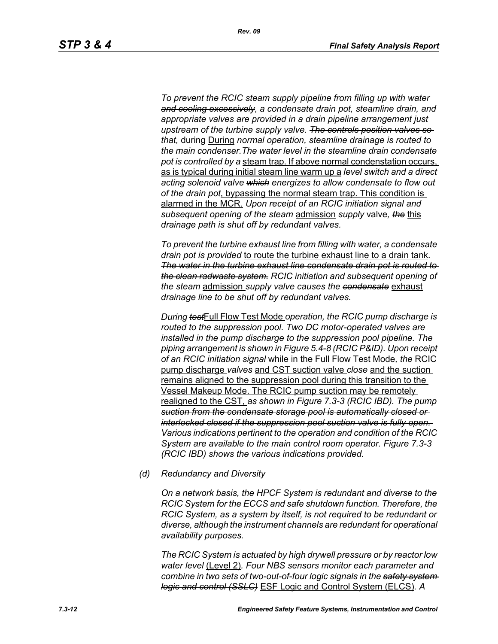*To prevent the RCIC steam supply pipeline from filling up with water and cooling excessively, a condensate drain pot, steamline drain, and appropriate valves are provided in a drain pipeline arrangement just upstream of the turbine supply valve. The controls position valves so that,* during During *normal operation, steamline drainage is routed to the main condenser.The water level in the steamline drain condensate pot is controlled by a* steam trap. If above normal condenstation occurs, as is typical during initial steam line warm up a *level switch and a direct acting solenoid valve which energizes to allow condensate to flow out of the drain pot*, bypassing the normal steam trap. This condition is alarmed in the MCR. *Upon receipt of an RCIC initiation signal and subsequent opening of the steam* admission *supply* valve*, the* this *drainage path is shut off by redundant valves.*

*To prevent the turbine exhaust line from filling with water, a condensate drain pot is provided* to route the turbine exhaust line to a drain tank*. The water in the turbine exhaust line condensate drain pot is routed to the clean radwaste system. RCIC initiation and subsequent opening of the steam* admission *supply valve causes the condensate* exhaust *drainage line to be shut off by redundant valves.*

*During test*Full Flow Test Mode *operation, the RCIC pump discharge is routed to the suppression pool. Two DC motor-operated valves are installed in the pump discharge to the suppression pool pipeline. The piping arrangement is shown in Figure 5.4-8 (RCIC P&ID). Upon receipt of an RCIC initiation signal* while in the Full Flow Test Mode*, the* RCIC pump discharge *valves* and CST suction valve *close* and the suction remains aligned to the suppression pool during this transition to the Vessel Makeup Mode. The RCIC pump suction may be remotely realigned to the CST, *as shown in Figure 7.3-3 (RCIC IBD). The pump suction from the condensate storage pool is automatically closed or interlocked closed if the suppression pool suction valve is fully open. Various indications pertinent to the operation and condition of the RCIC System are available to the main control room operator. Figure 7.3-3 (RCIC IBD) shows the various indications provided.*

*(d) Redundancy and Diversity*

*On a network basis, the HPCF System is redundant and diverse to the RCIC System for the ECCS and safe shutdown function. Therefore, the RCIC System, as a system by itself, is not required to be redundant or diverse, although the instrument channels are redundant for operational availability purposes.*

*The RCIC System is actuated by high drywell pressure or by reactor low water level* (Level 2)*. Four NBS sensors monitor each parameter and combine in two sets of two-out-of-four logic signals in the safety system logic and control (SSLC)* ESF Logic and Control System (ELCS)*. A*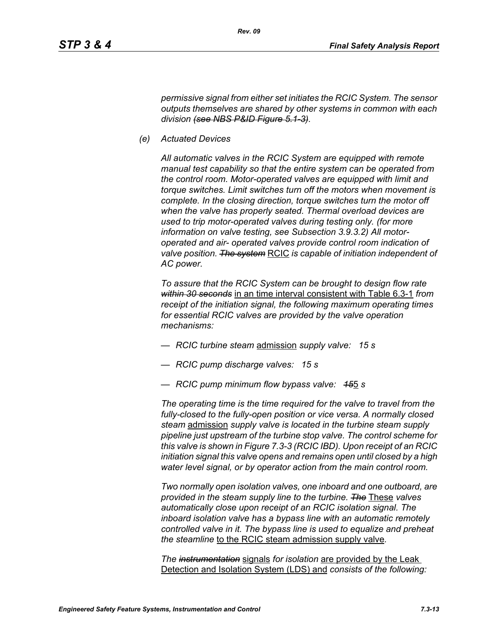*permissive signal from either set initiates the RCIC System. The sensor outputs themselves are shared by other systems in common with each division (see NBS P&ID Figure 5.1-3).*

*(e) Actuated Devices*

*All automatic valves in the RCIC System are equipped with remote manual test capability so that the entire system can be operated from the control room. Motor-operated valves are equipped with limit and torque switches. Limit switches turn off the motors when movement is complete. In the closing direction, torque switches turn the motor off when the valve has properly seated. Thermal overload devices are used to trip motor-operated valves during testing only. (for more information on valve testing, see Subsection 3.9.3.2) All motoroperated and air- operated valves provide control room indication of valve position. The system* RCIC *is capable of initiation independent of AC power.*

*To assure that the RCIC System can be brought to design flow rate within 30 seconds* in an time interval consistent with Table 6.3-1 *from receipt of the initiation signal, the following maximum operating times for essential RCIC valves are provided by the valve operation mechanisms:*

- *RCIC turbine steam* admission *supply valve: 15 s*
- *RCIC pump discharge valves: 15 s*
- *RCIC pump minimum flow bypass valve: 15*5 *s*

*The operating time is the time required for the valve to travel from the fully-closed to the fully-open position or vice versa. A normally closed steam* admission *supply valve is located in the turbine steam supply pipeline just upstream of the turbine stop valve. The control scheme for this valve is shown in Figure 7.3-3 (RCIC IBD). Upon receipt of an RCIC initiation signal this valve opens and remains open until closed by a high water level signal, or by operator action from the main control room.*

*Two normally open isolation valves, one inboard and one outboard, are provided in the steam supply line to the turbine. The* These *valves automatically close upon receipt of an RCIC isolation signal. The inboard isolation valve has a bypass line with an automatic remotely controlled valve in it. The bypass line is used to equalize and preheat the steamline* to the RCIC steam admission supply valve*.*

*The instrumentation* signals *for isolation* are provided by the Leak Detection and Isolation System (LDS) and *consists of the following:*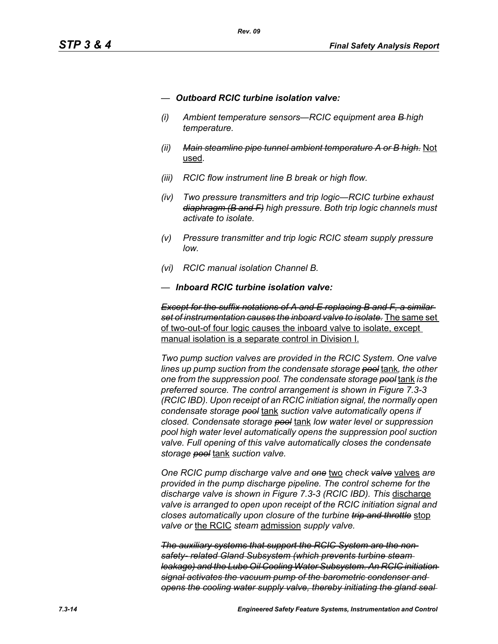- *— Outboard RCIC turbine isolation valve:*
- *(i) Ambient temperature sensors—RCIC equipment area B high temperature.*
- *(ii) Main steamline pipe tunnel ambient temperature A or B high.* Not used*.*
- *(iii) RCIC flow instrument line B break or high flow.*
- *(iv) Two pressure transmitters and trip logic—RCIC turbine exhaust diaphragm (B and F) high pressure. Both trip logic channels must activate to isolate.*
- *(v) Pressure transmitter and trip logic RCIC steam supply pressure low.*
- *(vi) RCIC manual isolation Channel B.*
- *— Inboard RCIC turbine isolation valve:*

*Except for the suffix notations of A and E replacing B and F, a similar set of instrumentation causes the inboard valve to isolate.* The same set of two-out-of four logic causes the inboard valve to isolate, except manual isolation is a separate control in Division I.

*Two pump suction valves are provided in the RCIC System. One valve lines up pump suction from the condensate storage pool* tank*, the other one from the suppression pool. The condensate storage pool* tank *is the preferred source. The control arrangement is shown in Figure 7.3-3 (RCIC IBD). Upon receipt of an RCIC initiation signal, the normally open condensate storage pool* tank *suction valve automatically opens if closed. Condensate storage pool* tank *low water level or suppression pool high water level automatically opens the suppression pool suction valve. Full opening of this valve automatically closes the condensate storage pool* tank *suction valve.*

*One RCIC pump discharge valve and one* two *check valve* valves *are provided in the pump discharge pipeline. The control scheme for the discharge valve is shown in Figure 7.3-3 (RCIC IBD). This* discharge *valve is arranged to open upon receipt of the RCIC initiation signal and closes automatically upon closure of the turbine trip and throttle* stop *valve or* the RCIC *steam* admission *supply valve.*

*The auxiliary systems that support the RCIC System are the nonsafety- related Gland Subsystem (which prevents turbine steam leakage) and the Lube Oil Cooling Water Subsystem. An RCIC initiation signal activates the vacuum pump of the barometric condenser and opens the cooling water supply valve, thereby initiating the gland seal*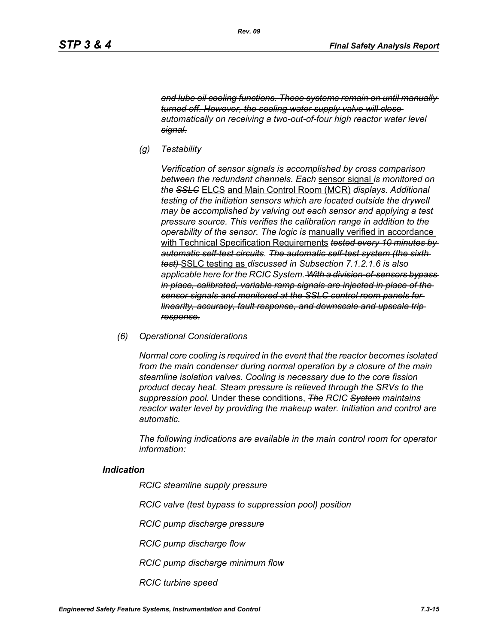*and lube oil cooling functions. These systems remain on until manually turned off. However, the cooling water supply valve will close automatically on receiving a two-out-of-four high reactor water level signal.*

*(g) Testability*

*Verification of sensor signals is accomplished by cross comparison between the redundant channels. Each* sensor signal *is monitored on the SSLC* ELCS and Main Control Room (MCR) *displays. Additional testing of the initiation sensors which are located outside the drywell may be accomplished by valving out each sensor and applying a test pressure source. This verifies the calibration range in addition to the operability of the sensor. The logic is* manually verified in accordance with Technical Specification Requirements *tested every 10 minutes by automatic self-test circuits. The automatic self-test system (the sixth test)* SSLC testing as *discussed in Subsection 7.1.2.1.6 is also applicable here for the RCIC System. With a division-of-sensors bypass in place, calibrated, variable ramp signals are injected in place of the sensor signals and monitored at the SSLC control room panels for linearity, accuracy, fault response, and downscale and upscale trip response.*

*(6) Operational Considerations*

*Normal core cooling is required in the event that the reactor becomes isolated from the main condenser during normal operation by a closure of the main steamline isolation valves. Cooling is necessary due to the core fission product decay heat. Steam pressure is relieved through the SRVs to the suppression pool.* Under these conditions, *The RCIC System maintains reactor water level by providing the makeup water. Initiation and control are automatic.*

*The following indications are available in the main control room for operator information:*

#### *Indication*

*RCIC steamline supply pressure*

*RCIC valve (test bypass to suppression pool) position*

*RCIC pump discharge pressure*

*RCIC pump discharge flow*

*RCIC pump discharge minimum flow*

*RCIC turbine speed*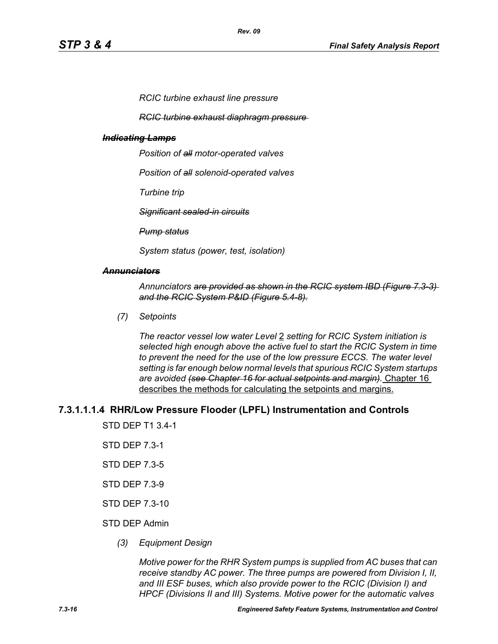*RCIC turbine exhaust line pressure*

*RCIC turbine exhaust diaphragm pressure* 

#### *Indicating Lamps*

*Position of all motor-operated valves*

*Position of all solenoid-operated valves*

*Turbine trip*

*Significant sealed-in circuits*

*Pump status*

*System status (power, test, isolation)*

#### *Annunciators*

*Annunciators are provided as shown in the RCIC system IBD (Figure 7.3-3) and the RCIC System P&ID (Figure 5.4-8).*

*(7) Setpoints*

*The reactor vessel low water Level* 2 *setting for RCIC System initiation is selected high enough above the active fuel to start the RCIC System in time to prevent the need for the use of the low pressure ECCS. The water level setting is far enough below normal levels that spurious RCIC System startups are avoided (see Chapter 16 for actual setpoints and margin).* Chapter 16 describes the methods for calculating the setpoints and margins.

#### **7.3.1.1.1.4 RHR/Low Pressure Flooder (LPFL) Instrumentation and Controls**

STD DEP T1 3.4-1

- STD DEP 7.3-1
- STD DEP 7.3-5
- STD DEP 7.3-9
- STD DEP 7.3-10

#### STD DEP Admin

*(3) Equipment Design*

*Motive power for the RHR System pumps is supplied from AC buses that can receive standby AC power. The three pumps are powered from Division I, II, and III ESF buses, which also provide power to the RCIC (Division I) and HPCF (Divisions II and III) Systems. Motive power for the automatic valves*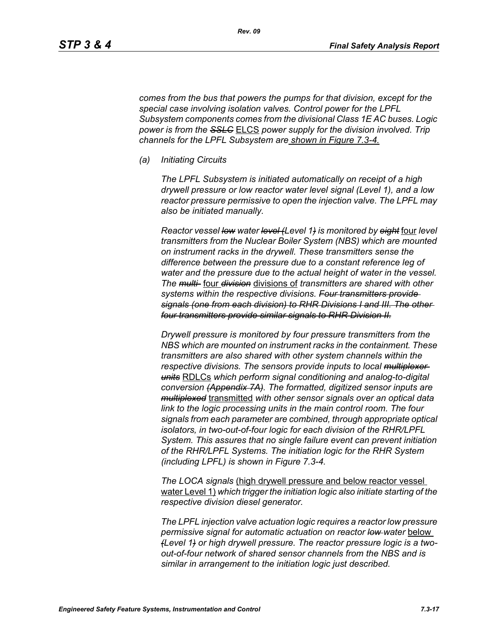*comes from the bus that powers the pumps for that division, except for the special case involving isolation valves. Control power for the LPFL Subsystem components comes from the divisional Class 1E AC buses. Logic power is from the SSLC* ELCS *power supply for the division involved. Trip channels for the LPFL Subsystem are shown in Figure 7.3-4.*

*(a) Initiating Circuits*

*The LPFL Subsystem is initiated automatically on receipt of a high drywell pressure or low reactor water level signal (Level 1), and a low reactor pressure permissive to open the injection valve. The LPFL may also be initiated manually.*

*Reactor vessel low water level (Level 1) is monitored by eight* four *level transmitters from the Nuclear Boiler System (NBS) which are mounted on instrument racks in the drywell. These transmitters sense the difference between the pressure due to a constant reference leg of water and the pressure due to the actual height of water in the vessel. The multi-* four *division* divisions of *transmitters are shared with other systems within the respective divisions. Four transmitters provide signals (one from each division) to RHR Divisions I and III. The other four transmitters provide similar signals to RHR Division II.*

*Drywell pressure is monitored by four pressure transmitters from the NBS which are mounted on instrument racks in the containment. These transmitters are also shared with other system channels within the respective divisions. The sensors provide inputs to local multiplexer units* RDLCs *which perform signal conditioning and analog-to-digital conversion (Appendix 7A). The formatted, digitized sensor inputs are multiplexed* transmitted *with other sensor signals over an optical data link to the logic processing units in the main control room. The four signals from each parameter are combined, through appropriate optical isolators, in two-out-of-four logic for each division of the RHR/LPFL System. This assures that no single failure event can prevent initiation of the RHR/LPFL Systems. The initiation logic for the RHR System (including LPFL) is shown in Figure 7.3-4.*

*The LOCA signals* (high drywell pressure and below reactor vessel water Level 1) *which trigger the initiation logic also initiate starting of the respective division diesel generator.*

*The LPFL injection valve actuation logic requires a reactor low pressure permissive signal for automatic actuation on reactor low water* below *(Level 1) or high drywell pressure. The reactor pressure logic is a twoout-of-four network of shared sensor channels from the NBS and is similar in arrangement to the initiation logic just described.*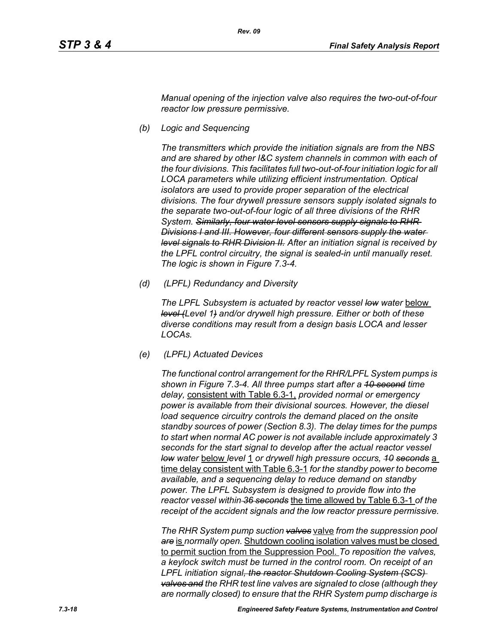*Manual opening of the injection valve also requires the two-out-of-four reactor low pressure permissive.*

*(b) Logic and Sequencing*

*The transmitters which provide the initiation signals are from the NBS and are shared by other I&C system channels in common with each of the four divisions. This facilitates full two-out-of-four initiation logic for all LOCA parameters while utilizing efficient instrumentation. Optical isolators are used to provide proper separation of the electrical divisions. The four drywell pressure sensors supply isolated signals to the separate two-out-of-four logic of all three divisions of the RHR System. Similarly, four water level sensors supply signals to RHR Divisions I and III. However, four different sensors supply the water level signals to RHR Division II. After an initiation signal is received by the LPFL control circuitry, the signal is sealed-in until manually reset. The logic is shown in Figure 7.3-4.*

*(d) (LPFL) Redundancy and Diversity*

The LPFL Subsystem is actuated by reactor vessel low water below *level (Level 1) and/or drywell high pressure. Either or both of these diverse conditions may result from a design basis LOCA and lesser LOCAs.*

*(e) (LPFL) Actuated Devices*

*The functional control arrangement for the RHR/LPFL System pumps is shown in Figure 7.3-4. All three pumps start after a 10 second time delay,* consistent with Table 6.3-1, *provided normal or emergency power is available from their divisional sources. However, the diesel*  load sequence circuitry controls the demand placed on the onsite *standby sources of power (Section 8.3). The delay times for the pumps to start when normal AC power is not available include approximately 3 seconds for the start signal to develop after the actual reactor vessel low water* below *level* 1 *or drywell high pressure occurs, 10 seconds* a time delay consistent with Table 6.3-1 *for the standby power to become available, and a sequencing delay to reduce demand on standby power. The LPFL Subsystem is designed to provide flow into the reactor vessel within 36 seconds* the time allowed by Table 6.3-1 *of the receipt of the accident signals and the low reactor pressure permissive.*

*The RHR System pump suction valves* valve *from the suppression pool are* is *normally open.* Shutdown cooling isolation valves must be closed to permit suction from the Suppression Pool. *To reposition the valves, a keylock switch must be turned in the control room. On receipt of an LPFL initiation signal, the reactor Shutdown Cooling System (SCS) valves and the RHR test line valves are signaled to close (although they are normally closed) to ensure that the RHR System pump discharge is*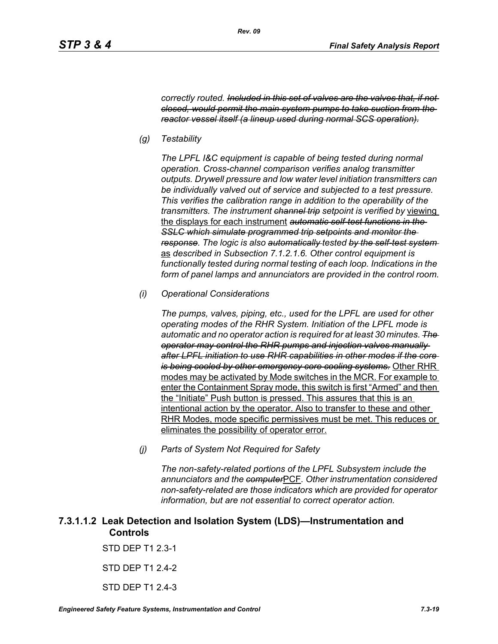*correctly routed. Included in this set of valves are the valves that, if not closed, would permit the main system pumps to take suction from the reactor vessel itself (a lineup used during normal SCS operation).*

*(g) Testability*

*The LPFL I&C equipment is capable of being tested during normal operation. Cross-channel comparison verifies analog transmitter outputs. Drywell pressure and low water level initiation transmitters can be individually valved out of service and subjected to a test pressure. This verifies the calibration range in addition to the operability of the transmitters. The instrument channel trip setpoint is verified by* viewing the displays for each instrument *automatic self-test functions in the SSLC which simulate programmed trip setpoints and monitor the response. The logic is also automatically tested by the self-test system*  as *described in Subsection 7.1.2.1.6. Other control equipment is functionally tested during normal testing of each loop. Indications in the form of panel lamps and annunciators are provided in the control room.*

*(i) Operational Considerations*

*The pumps, valves, piping, etc., used for the LPFL are used for other operating modes of the RHR System. Initiation of the LPFL mode is automatic and no operator action is required for at least 30 minutes. The operator may control the RHR pumps and injection valves manually after LPFL initiation to use RHR capabilities in other modes if the core is being cooled by other emergency core cooling systems.* Other RHR modes may be activated by Mode switches in the MCR. For example to enter the Containment Spray mode, this switch is first "Armed" and then the "Initiate" Push button is pressed. This assures that this is an intentional action by the operator. Also to transfer to these and other RHR Modes, mode specific permissives must be met. This reduces or eliminates the possibility of operator error.

*(j) Parts of System Not Required for Safety*

*The non-safety-related portions of the LPFL Subsystem include the annunciators and the computer*PCF*. Other instrumentation considered non-safety-related are those indicators which are provided for operator information, but are not essential to correct operator action.*

# **7.3.1.1.2 Leak Detection and Isolation System (LDS)—Instrumentation and Controls**

STD DEP T1 2.3-1

STD DEP T1 2.4-2

STD DFP T1 2 4-3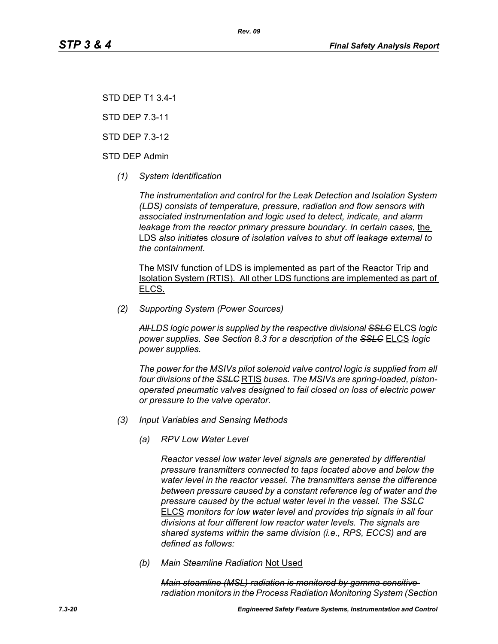STD DEP T1 3.4-1

STD DEP 7.3-11

STD DEP 7.3-12

STD DEP Admin

*(1) System Identification*

*The instrumentation and control for the Leak Detection and Isolation System (LDS) consists of temperature, pressure, radiation and flow sensors with associated instrumentation and logic used to detect, indicate, and alarm leakage from the reactor primary pressure boundary. In certain cases, the* LDS *also initiate*s *closure of isolation valves to shut off leakage external to the containment.*

The MSIV function of LDS is implemented as part of the Reactor Trip and Isolation System (RTIS). All other LDS functions are implemented as part of ELCS.

*(2) Supporting System (Power Sources)*

*All LDS logic power is supplied by the respective divisional SSLC* ELCS *logic power supplies. See Section 8.3 for a description of the SSLC* ELCS *logic power supplies.*

*The power for the MSIVs pilot solenoid valve control logic is supplied from all four divisions of the SSLC* RTIS *buses. The MSIVs are spring-loaded, pistonoperated pneumatic valves designed to fail closed on loss of electric power or pressure to the valve operator.*

- *(3) Input Variables and Sensing Methods*
	- *(a) RPV Low Water Level*

*Reactor vessel low water level signals are generated by differential pressure transmitters connected to taps located above and below the water level in the reactor vessel. The transmitters sense the difference between pressure caused by a constant reference leg of water and the pressure caused by the actual water level in the vessel. The SSLC* ELCS *monitors for low water level and provides trip signals in all four divisions at four different low reactor water levels. The signals are shared systems within the same division (i.e., RPS, ECCS) and are defined as follows:*

*(b) Main Steamline Radiation* Not Used

*Main steamline (MSL) radiation is monitored by gamma sensitive radiation monitors in the Process Radiation Monitoring System (Section*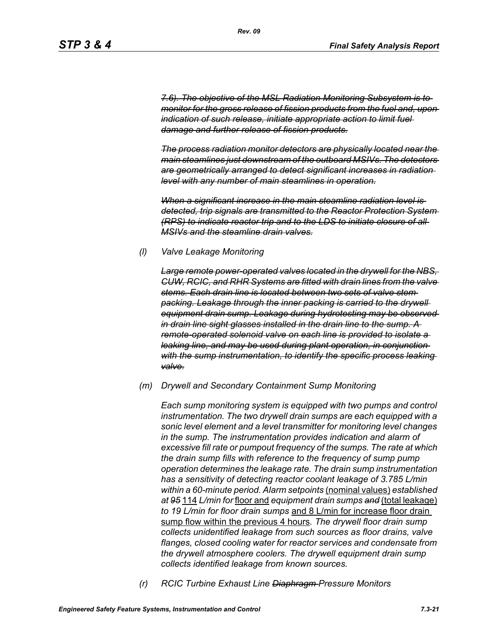*7.6). The objective of the MSL Radiation Monitoring Subsystem is to monitor for the gross release of fission products from the fuel and, upon indication of such release, initiate appropriate action to limit fuel damage and further release of fission products.*

*The process radiation monitor detectors are physically located near the main steamlines just downstream of the outboard MSIVs. The detectors are geometrically arranged to detect significant increases in radiation level with any number of main steamlines in operation.*

*When a significant increase in the main steamline radiation level is detected, trip signals are transmitted to the Reactor Protection System (RPS) to indicate reactor trip and to the LDS to initiate closure of all MSIVs and the steamline drain valves.*

#### *(l) Valve Leakage Monitoring*

*Large remote power-operated valves located in the drywell for the NBS, CUW, RCIC, and RHR Systems are fitted with drain lines from the valve stems. Each drain line is located between two sets of valve stem packing. Leakage through the inner packing is carried to the drywell equipment drain sump. Leakage during hydrotesting may be observed in drain line sight glasses installed in the drain line to the sump. A remote-operated solenoid valve on each line is provided to isolate a leaking line, and may be used during plant operation, in conjunction with the sump instrumentation, to identify the specific process leaking valve.*

#### *(m) Drywell and Secondary Containment Sump Monitoring*

*Each sump monitoring system is equipped with two pumps and control instrumentation. The two drywell drain sumps are each equipped with a sonic level element and a level transmitter for monitoring level changes in the sump. The instrumentation provides indication and alarm of excessive fill rate or pumpout frequency of the sumps. The rate at which the drain sump fills with reference to the frequency of sump pump operation determines the leakage rate. The drain sump instrumentation has a sensitivity of detecting reactor coolant leakage of 3.785 L/min within a 60-minute period. Alarm setpoints* (nominal values) *established at 95* 114 *L/min for* floor and *equipment drain sumps and* (total leakage) *to 19 L/min for floor drain sumps* and 8 L/min for increase floor drain sump flow within the previous 4 hours*. The drywell floor drain sump collects unidentified leakage from such sources as floor drains, valve flanges, closed cooling water for reactor services and condensate from the drywell atmosphere coolers. The drywell equipment drain sump collects identified leakage from known sources.*

*(r) RCIC Turbine Exhaust Line Diaphragm Pressure Monitors*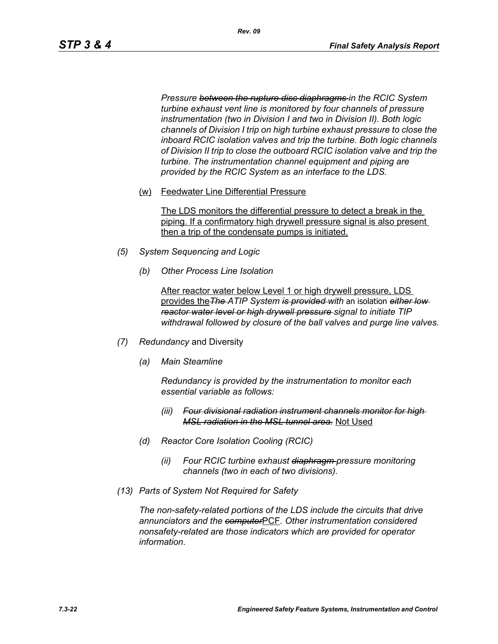*Pressure between the rupture disc diaphragms in the RCIC System turbine exhaust vent line is monitored by four channels of pressure instrumentation (two in Division I and two in Division II). Both logic channels of Division I trip on high turbine exhaust pressure to close the inboard RCIC isolation valves and trip the turbine. Both logic channels of Division II trip to close the outboard RCIC isolation valve and trip the turbine. The instrumentation channel equipment and piping are provided by the RCIC System as an interface to the LDS.*

(w) Feedwater Line Differential Pressure

The LDS monitors the differential pressure to detect a break in the piping. If a confirmatory high drywell pressure signal is also present then a trip of the condensate pumps is initiated.

- *(5) System Sequencing and Logic*
	- *(b) Other Process Line Isolation*

After reactor water below Level 1 or high drywell pressure, LDS provides the*The ATIP System is provided with* an isolation *either low reactor water level or high drywell pressure signal to initiate TIP withdrawal followed by closure of the ball valves and purge line valves.*

- *(7) Redundancy* and Diversity
	- *(a) Main Steamline*

*Redundancy is provided by the instrumentation to monitor each essential variable as follows:*

- *(iii) Four divisional radiation instrument channels monitor for high MSL radiation in the MSL tunnel area.* Not Used
- *(d) Reactor Core Isolation Cooling (RCIC)*
	- *(ii) Four RCIC turbine exhaust diaphragm pressure monitoring channels (two in each of two divisions).*
- *(13) Parts of System Not Required for Safety*

*The non-safety-related portions of the LDS include the circuits that drive annunciators and the computer*PCF*. Other instrumentation considered nonsafety-related are those indicators which are provided for operator information.*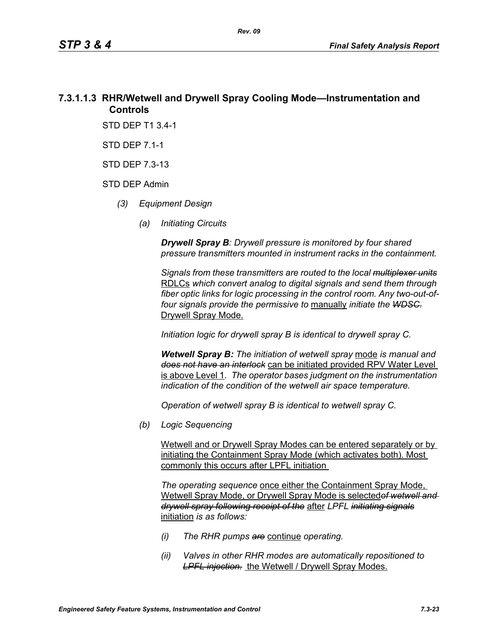# **7.3.1.1.3 RHR/Wetwell and Drywell Spray Cooling Mode—Instrumentation and Controls**

STD DEP T1 3.4-1

STD DEP 7.1-1

STD DEP 7.3-13

#### STD DEP Admin

- *(3) Equipment Design*
	- *(a) Initiating Circuits*

*Drywell Spray B: Drywell pressure is monitored by four shared pressure transmitters mounted in instrument racks in the containment.* 

*Signals from these transmitters are routed to the local multiplexer units* RDLCs *which convert analog to digital signals and send them through fiber optic links for logic processing in the control room. Any two-out-offour signals provide the permissive to* manually *initiate the WDSC.* Drywell Spray Mode.

*Initiation logic for drywell spray B is identical to drywell spray C.*

*Wetwell Spray B: The initiation of wetwell spray* mode *is manual and does not have an interlock* can be initiated provided RPV Water Level is above Level 1*. The operator bases judgment on the instrumentation indication of the condition of the wetwell air space temperature.*

*Operation of wetwell spray B is identical to wetwell spray C.*

*(b) Logic Sequencing*

Wetwell and or Drywell Spray Modes can be entered separately or by initiating the Containment Spray Mode (which activates both). Most commonly this occurs after LPFL initiation

*The operating sequence* once either the Containment Spray Mode, Wetwell Spray Mode, or Drywell Spray Mode is selected*of wetwell and drywell spray following receipt of the* after *LPFL initiating signals* initiation *is as follows:*

- *(i) The RHR pumps are* continue *operating.*
- *(ii) Valves in other RHR modes are automatically repositioned to*  **LPFL injection.** the Wetwell / Drywell Spray Modes.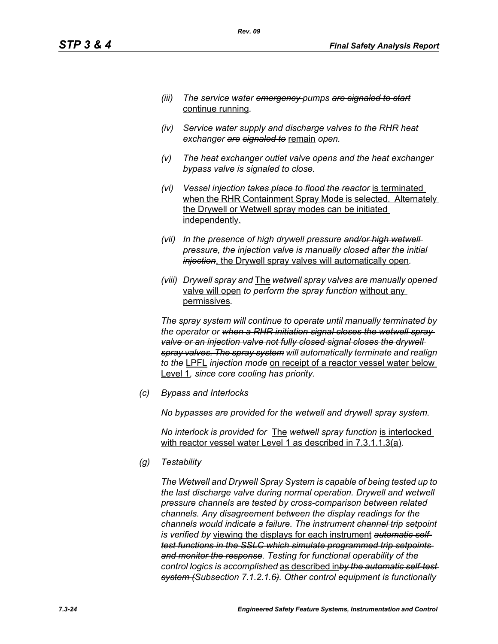- *(iii) The service water emergency pumps are signaled to start* continue running*.*
- *(iv) Service water supply and discharge valves to the RHR heat exchanger are signaled to* remain *open.*
- *(v) The heat exchanger outlet valve opens and the heat exchanger bypass valve is signaled to close.*
- *(vi) Vessel injection takes place to flood the reactor* is terminated when the RHR Containment Spray Mode is selected. Alternately the Drywell or Wetwell spray modes can be initiated independently.
- *(vii) In the presence of high drywell pressure and/or high wetwell pressure, the injection valve is manually closed after the initial injection*, the Drywell spray valves will automatically open*.*
- *(viii) Drywell spray and* The *wetwell spray valves are manually opened* valve will open *to perform the spray function* without any permissives*.*

*The spray system will continue to operate until manually terminated by the operator or when a RHR initiation signal closes the wetwell spray*  valve or an injection valve not fully closed signal closes the drywell *spray valves. The spray system will automatically terminate and realign to the* LPFL *injection mode* on receipt of a reactor vessel water below Level 1*, since core cooling has priority.*

*(c) Bypass and Interlocks*

*No bypasses are provided for the wetwell and drywell spray system.*

*No interlock is provided for* The *wetwell spray function* is interlocked with reactor vessel water Level 1 as described in 7.3.1.1.3(a)*.*

*(g) Testability*

*The Wetwell and Drywell Spray System is capable of being tested up to the last discharge valve during normal operation. Drywell and wetwell pressure channels are tested by cross-comparison between related channels. Any disagreement between the display readings for the channels would indicate a failure. The instrument channel trip setpoint is verified by* viewing the displays for each instrument *automatic selftest functions in the SSLC which simulate programmed trip setpoints and monitor the response. Testing for functional operability of the control logics is accomplished* as described in*by the automatic self-test system (Subsection 7.1.2.1.6). Other control equipment is functionally*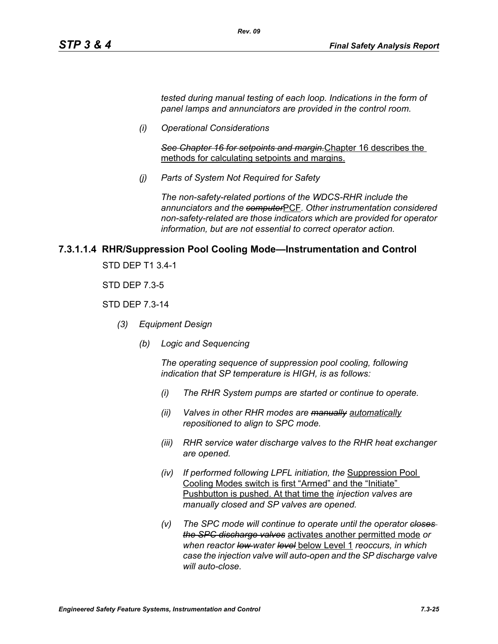*tested during manual testing of each loop. Indications in the form of panel lamps and annunciators are provided in the control room.*

*(i) Operational Considerations*

*See Chapter 16 for setpoints and margin.*Chapter 16 describes the methods for calculating setpoints and margins.

*(j) Parts of System Not Required for Safety*

*Rev. 09*

*The non-safety-related portions of the WDCS-RHR include the annunciators and the computer*PCF*. Other instrumentation considered non-safety-related are those indicators which are provided for operator information, but are not essential to correct operator action.*

## **7.3.1.1.4 RHR/Suppression Pool Cooling Mode—Instrumentation and Control**

STD DEP T1 3.4-1

STD DEP 7.3-5

#### STD DEP 7.3-14

- *(3) Equipment Design*
	- *(b) Logic and Sequencing*

*The operating sequence of suppression pool cooling, following indication that SP temperature is HIGH, is as follows:*

- *(i) The RHR System pumps are started or continue to operate.*
- *(ii) Valves in other RHR modes are manually automatically repositioned to align to SPC mode.*
- *(iii) RHR service water discharge valves to the RHR heat exchanger are opened.*
- *(iv) If performed following LPFL initiation, the* Suppression Pool Cooling Modes switch is first "Armed" and the "Initiate" Pushbutton is pushed. At that time the *injection valves are manually closed and SP valves are opened.*
- *(v) The SPC mode will continue to operate until the operator closes the SPC discharge valves* activates another permitted mode *or when reactor low water level* below Level 1 *reoccurs, in which case the injection valve will auto-open and the SP discharge valve will auto-close.*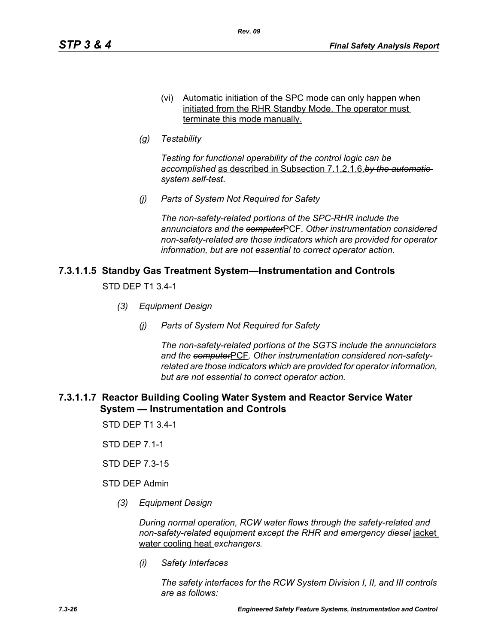- (vi) Automatic initiation of the SPC mode can only happen when initiated from the RHR Standby Mode. The operator must terminate this mode manually.
- *(g) Testability*

*Testing for functional operability of the control logic can be accomplished* as described in Subsection 7.1.2.1.6.*by the automatic system self-test.*

*(j) Parts of System Not Required for Safety*

*The non-safety-related portions of the SPC-RHR include the annunciators and the computer*PCF*. Other instrumentation considered non-safety-related are those indicators which are provided for operator information, but are not essential to correct operator action.*

## **7.3.1.1.5 Standby Gas Treatment System—Instrumentation and Controls**

STD DEP T1 3.4-1

- *(3) Equipment Design*
	- *(j) Parts of System Not Required for Safety*

*The non-safety-related portions of the SGTS include the annunciators and the computer*PCF*. Other instrumentation considered non-safetyrelated are those indicators which are provided for operator information, but are not essential to correct operator action.*

## **7.3.1.1.7 Reactor Building Cooling Water System and Reactor Service Water System — Instrumentation and Controls**

STD DEP T1 3.4-1

STD DEP 7.1-1

STD DEP 7.3-15

STD DEP Admin

*(3) Equipment Design*

*During normal operation, RCW water flows through the safety-related and non-safety-related equipment except the RHR and emergency diesel* jacket water cooling heat *exchangers.*

*(i) Safety Interfaces*

*The safety interfaces for the RCW System Division I, II, and III controls are as follows:*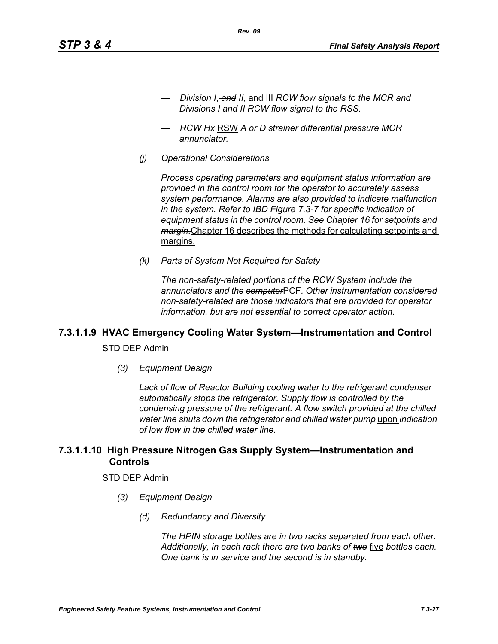- *Division I*, *and II*, and III *RCW flow signals to the MCR and Divisions I and II RCW flow signal to the RSS.*
- *RCW Hx* RSW *A or D strainer differential pressure MCR annunciator.*

*Rev. 09*

*(j) Operational Considerations*

*Process operating parameters and equipment status information are provided in the control room for the operator to accurately assess system performance. Alarms are also provided to indicate malfunction in the system. Refer to IBD Figure 7.3-7 for specific indication of equipment status in the control room. See Chapter 16 for setpoints and margin.*Chapter 16 describes the methods for calculating setpoints and margins.

*(k) Parts of System Not Required for Safety*

*The non-safety-related portions of the RCW System include the annunciators and the computer*PCF*. Other instrumentation considered non-safety-related are those indicators that are provided for operator information, but are not essential to correct operator action.*

# **7.3.1.1.9 HVAC Emergency Cooling Water System—Instrumentation and Control**

STD DEP Admin

*(3) Equipment Design*

*Lack of flow of Reactor Building cooling water to the refrigerant condenser automatically stops the refrigerator. Supply flow is controlled by the condensing pressure of the refrigerant. A flow switch provided at the chilled water line shuts down the refrigerator and chilled water pump* upon *indication of low flow in the chilled water line.*

# **7.3.1.1.10 High Pressure Nitrogen Gas Supply System—Instrumentation and Controls**

#### STD DEP Admin

- *(3) Equipment Design*
	- *(d) Redundancy and Diversity*

*The HPIN storage bottles are in two racks separated from each other. Additionally, in each rack there are two banks of two* five *bottles each. One bank is in service and the second is in standby.*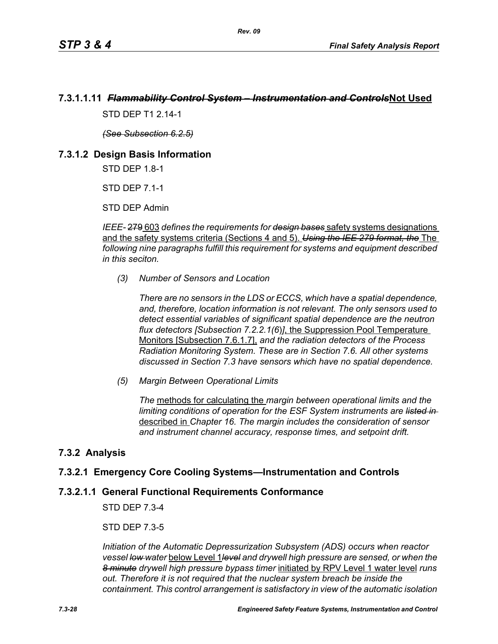# **7.3.1.1.11** *Flammability Control System – Instrumentation and Controls***Not Used**

*Rev. 09*

STD DFP T1 2 14-1

*(See Subsection 6.2.5)*

## **7.3.1.2 Design Basis Information**

STD DEP 1.8-1

STD DEP 7.1-1

STD DEP Admin

*IEEE-* 279 603 *defines the requirements for design bases* safety systems designations and the safety systems criteria (Sections 4 and 5). *Using the IEE 279 format, the* The *following nine paragraphs fulfill this requirement for systems and equipment described in this seciton.*

*(3) Number of Sensors and Location*

*There are no sensors in the LDS or ECCS, which have a spatial dependence, and, therefore, location information is not relevant. The only sensors used to detect essential variables of significant spatial dependence are the neutron flux detectors [Subsection 7.2.2.1(6*)*]*, the Suppression Pool Temperature Monitors [Subsection 7.6.1.7], *and the radiation detectors of the Process Radiation Monitoring System. These are in Section 7.6. All other systems discussed in Section 7.3 have sensors which have no spatial dependence.*

*(5) Margin Between Operational Limits*

*The* methods for calculating the *margin between operational limits and the limiting conditions of operation for the ESF System instruments are listed in*  described in *Chapter 16. The margin includes the consideration of sensor and instrument channel accuracy, response times, and setpoint drift.*

# **7.3.2 Analysis**

# **7.3.2.1 Emergency Core Cooling Systems—Instrumentation and Controls**

#### **7.3.2.1.1 General Functional Requirements Conformance**

STD DEP 7.3-4

STD DEP 7.3-5

*Initiation of the Automatic Depressurization Subsystem (ADS) occurs when reactor vessel low water* below Level 1*level and drywell high pressure are sensed, or when the 8 minute drywell high pressure bypass timer* initiated by RPV Level 1 water level *runs out. Therefore it is not required that the nuclear system breach be inside the containment. This control arrangement is satisfactory in view of the automatic isolation*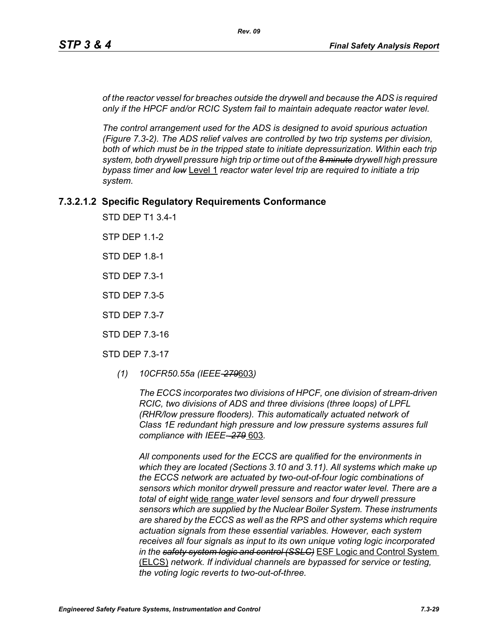*of the reactor vessel for breaches outside the drywell and because the ADS is required only if the HPCF and/or RCIC System fail to maintain adequate reactor water level.*

*The control arrangement used for the ADS is designed to avoid spurious actuation (Figure 7.3-2). The ADS relief valves are controlled by two trip systems per division,*  both of which must be in the tripped state to initiate depressurization. Within each trip *system, both drywell pressure high trip or time out of the 8 minute drywell high pressure bypass timer and low* Level 1 *reactor water level trip are required to initiate a trip system.*

## **7.3.2.1.2 Specific Regulatory Requirements Conformance**

STD DEP T1 3.4-1

STP DEP 1.1-2

STD DEP 1.8-1

STD DEP 7.3-1

STD DEP 7.3-5

STD DEP 7.3-7

STD DEP 7.3-16

STD DEP 7.3-17

*(1) 10CFR50.55a (IEEE-279*603*)*

*The ECCS incorporates two divisions of HPCF, one division of stream-driven RCIC, two divisions of ADS and three divisions (three loops) of LPFL (RHR/low pressure flooders). This automatically actuated network of Class 1E redundant high pressure and low pressure systems assures full compliance with IEEE- 279* 603*.*

*All components used for the ECCS are qualified for the environments in which they are located (Sections 3.10 and 3.11). All systems which make up the ECCS network are actuated by two-out-of-four logic combinations of sensors which monitor drywell pressure and reactor water level. There are a total of eight* wide range *water level sensors and four drywell pressure sensors which are supplied by the Nuclear Boiler System. These instruments are shared by the ECCS as well as the RPS and other systems which require actuation signals from these essential variables. However, each system receives all four signals as input to its own unique voting logic incorporated in the safety system logic and control (SSLC)* ESF Logic and Control System (ELCS) *network. If individual channels are bypassed for service or testing, the voting logic reverts to two-out-of-three.*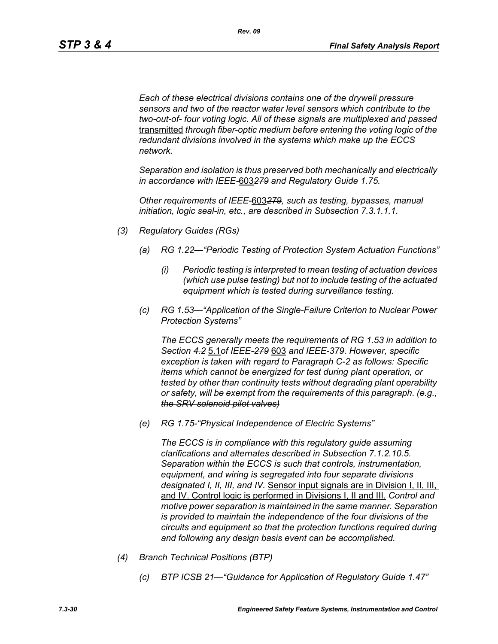*Each of these electrical divisions contains one of the drywell pressure sensors and two of the reactor water level sensors which contribute to the two-out-of- four voting logic. All of these signals are multiplexed and passed* transmitted *through fiber-optic medium before entering the voting logic of the redundant divisions involved in the systems which make up the ECCS network.* 

*Separation and isolation is thus preserved both mechanically and electrically in accordance with IEEE-*603*279 and Regulatory Guide 1.75.*

*Other requirements of IEEE-*603*279, such as testing, bypasses, manual initiation, logic seal-in, etc., are described in Subsection 7.3.1.1.1.*

- *(3) Regulatory Guides (RGs)*
	- *(a) RG 1.22—"Periodic Testing of Protection System Actuation Functions"*
		- *(i) Periodic testing is interpreted to mean testing of actuation devices (which use pulse testing) but not to include testing of the actuated equipment which is tested during surveillance testing.*
	- *(c) RG 1.53—"Application of the Single-Failure Criterion to Nuclear Power Protection Systems"*

*The ECCS generally meets the requirements of RG 1.53 in addition to Section 4.2* 5.1*of IEEE-279* 603 *and IEEE-379. However, specific exception is taken with regard to Paragraph C-2 as follows: Specific items which cannot be energized for test during plant operation, or tested by other than continuity tests without degrading plant operability or safety, will be exempt from the requirements of this paragraph. (e.g., the SRV solenoid pilot valves)*

*(e) RG 1.75-"Physical Independence of Electric Systems"*

*The ECCS is in compliance with this regulatory guide assuming clarifications and alternates described in Subsection 7.1.2.10.5. Separation within the ECCS is such that controls, instrumentation, equipment, and wiring is segregated into four separate divisions designated I, II, III, and IV.* Sensor input signals are in Division I, II, III, and IV. Control logic is performed in Divisions I, II and III. *Control and motive power separation is maintained in the same manner. Separation is provided to maintain the independence of the four divisions of the circuits and equipment so that the protection functions required during and following any design basis event can be accomplished.*

- *(4) Branch Technical Positions (BTP)*
	- *(c) BTP ICSB 21—"Guidance for Application of Regulatory Guide 1.47"*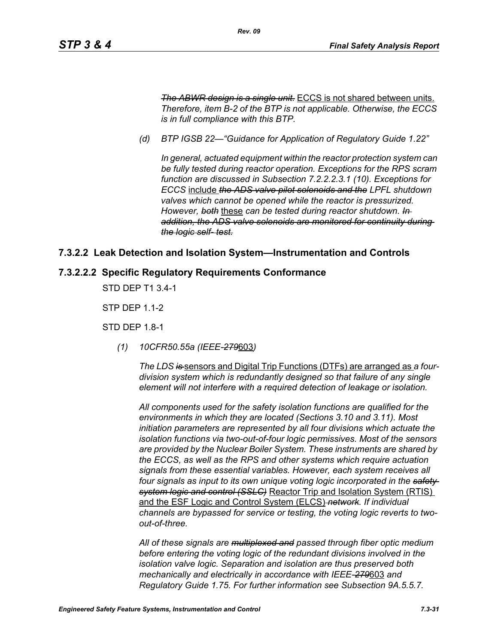*The ABWR design is a single unit.* ECCS is not shared between units. *Therefore, item B-2 of the BTP is not applicable. Otherwise, the ECCS is in full compliance with this BTP.*

*(d) BTP IGSB 22—"Guidance for Application of Regulatory Guide 1.22"*

*Rev. 09*

*In general, actuated equipment within the reactor protection system can be fully tested during reactor operation. Exceptions for the RPS scram function are discussed in Subsection 7.2.2.2.3.1 (10). Exceptions for ECCS* include *the ADS valve pilot solenoids and the LPFL shutdown valves which cannot be opened while the reactor is pressurized. However, both* these *can be tested during reactor shutdown. In addition, the ADS valve solenoids are monitored for continuity during the logic self- test.*

## **7.3.2.2 Leak Detection and Isolation System—Instrumentation and Controls**

#### **7.3.2.2.2 Specific Regulatory Requirements Conformance**

STD DEP T1 3.4-1

STP DEP 1.1-2

STD DEP 1.8-1

*(1) 10CFR50.55a (IEEE-279*603*)*

*The LDS is* sensors and Digital Trip Functions (DTFs) are arranged as *a fourdivision system which is redundantly designed so that failure of any single element will not interfere with a required detection of leakage or isolation.*

*All components used for the safety isolation functions are qualified for the environments in which they are located (Sections 3.10 and 3.11). Most initiation parameters are represented by all four divisions which actuate the isolation functions via two-out-of-four logic permissives. Most of the sensors are provided by the Nuclear Boiler System. These instruments are shared by the ECCS, as well as the RPS and other systems which require actuation signals from these essential variables. However, each system receives all four signals as input to its own unique voting logic incorporated in the safety system logic and control (SSLC)* Reactor Trip and Isolation System (RTIS) and the ESF Logic and Control System (ELCS) *network. If individual channels are bypassed for service or testing, the voting logic reverts to twoout-of-three.*

*All of these signals are multiplexed and passed through fiber optic medium before entering the voting logic of the redundant divisions involved in the isolation valve logic. Separation and isolation are thus preserved both mechanically and electrically in accordance with IEEE-279*603 *and Regulatory Guide 1.75. For further information see Subsection 9A.5.5.7.*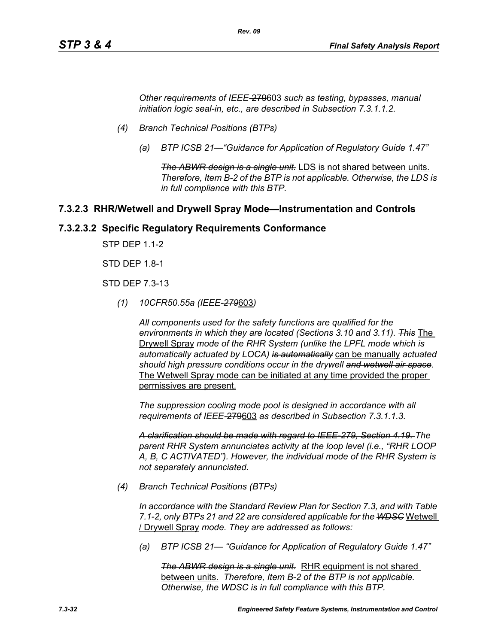*Other requirements of IEEE-*279603 *such as testing, bypasses, manual initiation logic seal-in, etc., are described in Subsection 7.3.1.1.2.*

*Rev. 09*

- *(4) Branch Technical Positions (BTPs)*
	- *(a) BTP ICSB 21—"Guidance for Application of Regulatory Guide 1.47"*

*The ABWR design is a single unit.* LDS is not shared between units. *Therefore, Item B-2 of the BTP is not applicable. Otherwise, the LDS is in full compliance with this BTP.*

#### **7.3.2.3 RHR/Wetwell and Drywell Spray Mode—Instrumentation and Controls**

#### **7.3.2.3.2 Specific Regulatory Requirements Conformance**

STP DEP 1.1-2

STD DEP 1.8-1

STD DEP 7.3-13

*(1) 10CFR50.55a (IEEE-279*603*)*

*All components used for the safety functions are qualified for the environments in which they are located (Sections 3.10 and 3.11). This* The Drywell Spray *mode of the RHR System (unlike the LPFL mode which is automatically actuated by LOCA) is automatically* can be manually *actuated should high pressure conditions occur in the drywell and wetwell air space.* The Wetwell Spray mode can be initiated at any time provided the proper permissives are present.

*The suppression cooling mode pool is designed in accordance with all requirements of IEEE-*279603 *as described in Subsection 7.3.1.1.3.*

*A clarification should be made with regard to IEEE-279, Section 4.19. The parent RHR System annunciates activity at the loop level (i.e., "RHR LOOP A, B, C ACTIVATED"). However, the individual mode of the RHR System is not separately annunciated.*

*(4) Branch Technical Positions (BTPs)*

*In accordance with the Standard Review Plan for Section 7.3, and with Table 7.1-2, only BTPs 21 and 22 are considered applicable for the WDSC* Wetwell / Drywell Spray *mode. They are addressed as follows:*

*(a) BTP ICSB 21— "Guidance for Application of Regulatory Guide 1.47"*

*The ABWR design is a single unit.* RHR equipment is not shared between units. *Therefore, Item B-2 of the BTP is not applicable. Otherwise, the WDSC is in full compliance with this BTP.*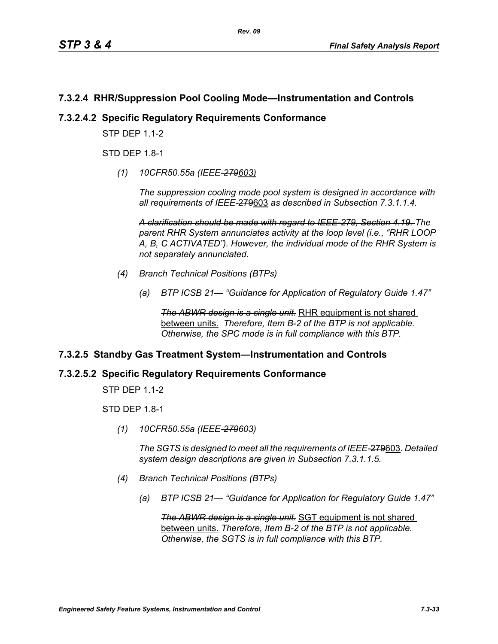# **7.3.2.4 RHR/Suppression Pool Cooling Mode—Instrumentation and Controls**

## **7.3.2.4.2 Specific Regulatory Requirements Conformance**

**STP DFP 1 1-2** 

STD DEP 1.8-1

*(1) 10CFR50.55a (IEEE-279603)*

*The suppression cooling mode pool system is designed in accordance with all requirements of IEEE-*279603 *as described in Subsection 7.3.1.1.4.*

*A clarification should be made with regard to IEEE-279, Section 4.19. The parent RHR System annunciates activity at the loop level (i.e., "RHR LOOP A, B, C ACTIVATED"). However, the individual mode of the RHR System is not separately annunciated.*

- *(4) Branch Technical Positions (BTPs)*
	- *(a) BTP ICSB 21— "Guidance for Application of Regulatory Guide 1.47"*

**The ABWR design is a single unit.** RHR equipment is not shared between units. *Therefore, Item B-2 of the BTP is not applicable. Otherwise, the SPC mode is in full compliance with this BTP.*

# **7.3.2.5 Standby Gas Treatment System—Instrumentation and Controls**

#### **7.3.2.5.2 Specific Regulatory Requirements Conformance**

STP DEP 1.1-2

STD DEP 1.8-1

*(1) 10CFR50.55a (IEEE-279603)*

*The SGTS is designed to meet all the requirements of IEEE-*279603*. Detailed system design descriptions are given in Subsection 7.3.1.1.5.*

- *(4) Branch Technical Positions (BTPs)*
	- *(a) BTP ICSB 21— "Guidance for Application for Regulatory Guide 1.47"*

*The ABWR design is a single unit.* SGT equipment is not shared between units. *Therefore, Item B-2 of the BTP is not applicable. Otherwise, the SGTS is in full compliance with this BTP.*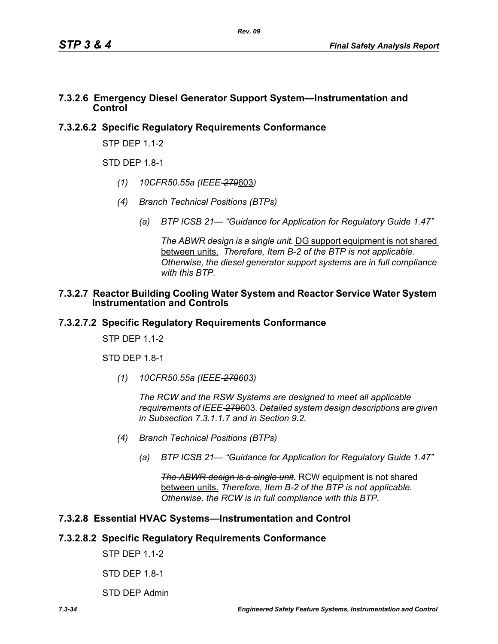# **7.3.2.6 Emergency Diesel Generator Support System—Instrumentation and Control**

# **7.3.2.6.2 Specific Regulatory Requirements Conformance**

STP DEP 1.1-2

 $STD$  DFP 1.8-1

- *(1) 10CFR50.55a (IEEE-279*603*)*
- *(4) Branch Technical Positions (BTPs)*
	- *(a) BTP ICSB 21— "Guidance for Application for Regulatory Guide 1.47"*

*The ABWR design is a single unit.* DG support equipment is not shared between units. *Therefore, Item B-2 of the BTP is not applicable. Otherwise, the diesel generator support systems are in full compliance with this BTP.*

#### **7.3.2.7 Reactor Building Cooling Water System and Reactor Service Water System Instrumentation and Controls**

# **7.3.2.7.2 Specific Regulatory Requirements Conformance**

STP DFP 11-2

STD DEP 1.8-1

*(1) 10CFR50.55a (IEEE-279603)*

*The RCW and the RSW Systems are designed to meet all applicable requirements of IEEE-*279603*. Detailed system design descriptions are given in Subsection 7.3.1.1.7 and in Section 9.2.*

- *(4) Branch Technical Positions (BTPs)*
	- *(a) BTP ICSB 21— "Guidance for Application for Regulatory Guide 1.47"*

*The ABWR design is a single unit.* RCW equipment is not shared between units. *Therefore, Item B-2 of the BTP is not applicable. Otherwise, the RCW is in full compliance with this BTP.*

# **7.3.2.8 Essential HVAC Systems—Instrumentation and Control**

# **7.3.2.8.2 Specific Regulatory Requirements Conformance**

STP DEP 1.1-2

STD DEP 1.8-1

STD DEP Admin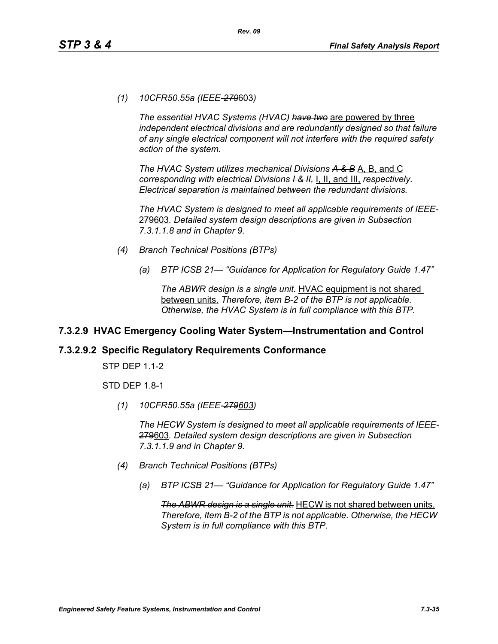*(1) 10CFR50.55a (IEEE-279*603*)*

*The essential HVAC Systems (HVAC) have two* are powered by three *independent electrical divisions and are redundantly designed so that failure of any single electrical component will not interfere with the required safety action of the system.*

*The HVAC System utilizes mechanical Divisions A & B* A, B, and C *corresponding with electrical Divisions I & II,* I, II, and III, *respectively. Electrical separation is maintained between the redundant divisions.*

*The HVAC System is designed to meet all applicable requirements of IEEE-*279603*. Detailed system design descriptions are given in Subsection 7.3.1.1.8 and in Chapter 9.*

- *(4) Branch Technical Positions (BTPs)*
	- *(a) BTP ICSB 21— "Guidance for Application for Regulatory Guide 1.47"*

*The ABWR design is a single unit.* HVAC equipment is not shared between units. *Therefore, item B-2 of the BTP is not applicable. Otherwise, the HVAC System is in full compliance with this BTP.*

# **7.3.2.9 HVAC Emergency Cooling Water System—Instrumentation and Control**

#### **7.3.2.9.2 Specific Regulatory Requirements Conformance**

STP DEP 1.1-2

STD DEP 1.8-1

*(1) 10CFR50.55a (IEEE-279603)*

*The HECW System is designed to meet all applicable requirements of IEEE-*279603*. Detailed system design descriptions are given in Subsection 7.3.1.1.9 and in Chapter 9.*

- *(4) Branch Technical Positions (BTPs)*
	- *(a) BTP ICSB 21— "Guidance for Application for Regulatory Guide 1.47"*

*The ABWR design is a single unit.* HECW is not shared between units. *Therefore, Item B-2 of the BTP is not applicable. Otherwise, the HECW System is in full compliance with this BTP.*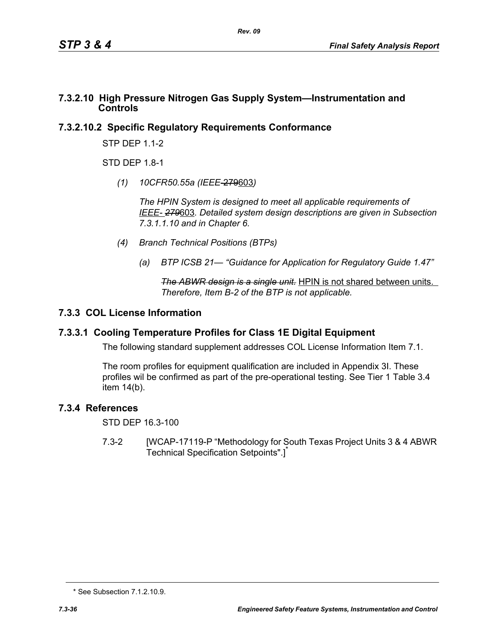## **7.3.2.10 High Pressure Nitrogen Gas Supply System—Instrumentation and Controls**

# **7.3.2.10.2 Specific Regulatory Requirements Conformance**

STP DEP 1.1-2

STD DFP 18-1

*(1) 10CFR50.55a (IEEE*-279603*)*

*The HPIN System is designed to meet all applicable requirements of IEEE- 279*603*. Detailed system design descriptions are given in Subsection 7.3.1.1.10 and in Chapter 6.*

- *(4) Branch Technical Positions (BTPs)*
	- *(a) BTP ICSB 21— "Guidance for Application for Regulatory Guide 1.47"*

*The ABWR design is a single unit.* HPIN is not shared between units. *Therefore, Item B-2 of the BTP is not applicable.* 

# **7.3.3 COL License Information**

# **7.3.3.1 Cooling Temperature Profiles for Class 1E Digital Equipment**

The following standard supplement addresses COL License Information Item 7.1.

The room profiles for equipment qualification are included in Appendix 3I. These profiles wil be confirmed as part of the pre-operational testing. See Tier 1 Table 3.4 item 14(b).

# **7.3.4 References**

STD DEP 16.3-100

7.3-2 [WCAP-17119-P "Methodology for South Texas Project Units 3 & 4 ABWR Technical Specification Setpoints".]<sup>\*</sup>

<sup>\*</sup> See Subsection 7.1.2.10.9.